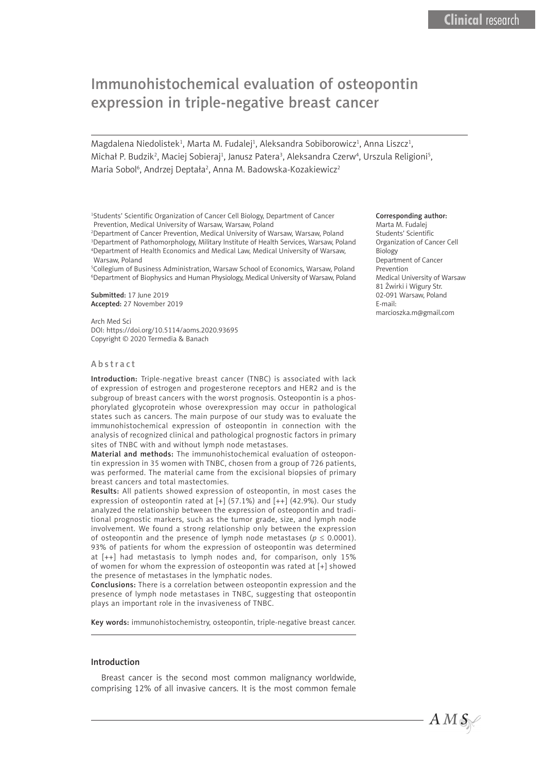# Immunohistochemical evaluation of osteopontin expression in triple-negative breast cancer

Magdalena Niedolistek<sup>1</sup>, Marta M. Fudalej<sup>1</sup>, Aleksandra Sobiborowicz<sup>1</sup>, Anna Liszcz<sup>1</sup>, Michał P. Budzik<sup>2</sup>, Maciej Sobieraj<sup>1</sup>, Janusz Patera<sup>3</sup>, Aleksandra Czerw<sup>4</sup>, Urszula Religioni<sup>s</sup>, Maria Sobol<sup>6</sup>, Andrzej Deptała<sup>2</sup>, Anna M. Badowska-Kozakiewicz<sup>2</sup>

<sup>1</sup>Students' Scientific Organization of Cancer Cell Biology, Department of Cancer Prevention, Medical University of Warsaw, Warsaw, Poland

 Department of Cancer Prevention, Medical University of Warsaw, Warsaw, Poland Department of Pathomorphology, Military Institute of Health Services, Warsaw, Poland Department of Health Economics and Medical Law, Medical University of Warsaw, Warsaw, Poland

5 Collegium of Business Administration, Warsaw School of Economics, Warsaw, Poland 6 Department of Biophysics and Human Physiology, Medical University of Warsaw, Poland

Submitted: 17 June 2019 Accepted: 27 November 2019

Arch Med Sci DOI: https://doi.org/10.5114/aoms.2020.93695 Copyright © 2020 Termedia & Banach

### Abstract

Introduction: Triple-negative breast cancer (TNBC) is associated with lack of expression of estrogen and progesterone receptors and HER2 and is the subgroup of breast cancers with the worst prognosis. Osteopontin is a phosphorylated glycoprotein whose overexpression may occur in pathological states such as cancers. The main purpose of our study was to evaluate the immunohistochemical expression of osteopontin in connection with the analysis of recognized clinical and pathological prognostic factors in primary sites of TNBC with and without lymph node metastases.

Material and methods: The immunohistochemical evaluation of osteopontin expression in 35 women with TNBC, chosen from a group of 726 patients, was performed. The material came from the excisional biopsies of primary breast cancers and total mastectomies.

Results: All patients showed expression of osteopontin, in most cases the expression of osteopontin rated at [+] (57.1%) and [++] (42.9%). Our study analyzed the relationship between the expression of osteopontin and traditional prognostic markers, such as the tumor grade, size, and lymph node involvement. We found a strong relationship only between the expression of osteopontin and the presence of lymph node metastases ( $p \le 0.0001$ ). 93% of patients for whom the expression of osteopontin was determined at [++] had metastasis to lymph nodes and, for comparison, only 15% of women for whom the expression of osteopontin was rated at [+] showed the presence of metastases in the lymphatic nodes.

Conclusions: There is a correlation between osteopontin expression and the presence of lymph node metastases in TNBC, suggesting that osteopontin plays an important role in the invasiveness of TNBC.

Key words: immunohistochemistry, osteopontin, triple-negative breast cancer.

## Introduction

Breast cancer is the second most common malignancy worldwide, comprising 12% of all invasive cancers. It is the most common female

#### Corresponding author:

Marta M. Fudalej Students' Scientific Organization of Cancer Cell Biology Department of Cancer Prevention Medical University of Warsaw 81 Żwirki i Wigury Str. 02-091 Warsaw, Poland E-mail: marcioszka.m@gmail.com

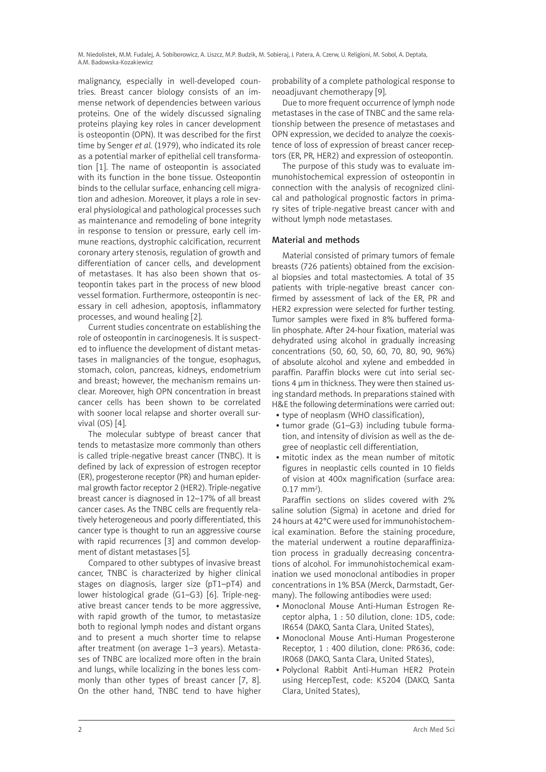malignancy, especially in well-developed countries. Breast cancer biology consists of an immense network of dependencies between various proteins. One of the widely discussed signaling proteins playing key roles in cancer development is osteopontin (OPN). It was described for the first time by Senger *et al.* (1979), who indicated its role as a potential marker of epithelial cell transformation [1]. The name of osteopontin is associated with its function in the bone tissue. Osteopontin binds to the cellular surface, enhancing cell migration and adhesion. Moreover, it plays a role in several physiological and pathological processes such as maintenance and remodeling of bone integrity in response to tension or pressure, early cell immune reactions, dystrophic calcification, recurrent coronary artery stenosis, regulation of growth and differentiation of cancer cells, and development of metastases. It has also been shown that osteopontin takes part in the process of new blood vessel formation. Furthermore, osteopontin is necessary in cell adhesion, apoptosis, inflammatory processes, and wound healing [2].

Current studies concentrate on establishing the role of osteopontin in carcinogenesis. It is suspected to influence the development of distant metastases in malignancies of the tongue, esophagus, stomach, colon, pancreas, kidneys, endometrium and breast; however, the mechanism remains unclear. Moreover, high OPN concentration in breast cancer cells has been shown to be correlated with sooner local relapse and shorter overall survival (OS) [4].

The molecular subtype of breast cancer that tends to metastasize more commonly than others is called triple-negative breast cancer (TNBC). It is defined by lack of expression of estrogen receptor (ER), progesterone receptor (PR) and human epidermal growth factor receptor 2 (HER2). Triple-negative breast cancer is diagnosed in 12–17% of all breast cancer cases. As the TNBC cells are frequently relatively heterogeneous and poorly differentiated, this cancer type is thought to run an aggressive course with rapid recurrences [3] and common development of distant metastases [5].

Compared to other subtypes of invasive breast cancer, TNBC is characterized by higher clinical stages on diagnosis, larger size (pT1–pT4) and lower histological grade (G1–G3) [6]. Triple-negative breast cancer tends to be more aggressive, with rapid growth of the tumor, to metastasize both to regional lymph nodes and distant organs and to present a much shorter time to relapse after treatment (on average 1–3 years). Metastases of TNBC are localized more often in the brain and lungs, while localizing in the bones less commonly than other types of breast cancer [7, 8]. On the other hand, TNBC tend to have higher probability of a complete pathological response to neoadjuvant chemotherapy [9].

Due to more frequent occurrence of lymph node metastases in the case of TNBC and the same relationship between the presence of metastases and OPN expression, we decided to analyze the coexistence of loss of expression of breast cancer receptors (ER, PR, HER2) and expression of osteopontin.

The purpose of this study was to evaluate immunohistochemical expression of osteopontin in connection with the analysis of recognized clinical and pathological prognostic factors in primary sites of triple-negative breast cancer with and without lymph node metastases.

# Material and methods

Material consisted of primary tumors of female breasts (726 patients) obtained from the excisional biopsies and total mastectomies. A total of 35 patients with triple-negative breast cancer confirmed by assessment of lack of the ER, PR and HER2 expression were selected for further testing. Tumor samples were fixed in 8% buffered formalin phosphate. After 24-hour fixation, material was dehydrated using alcohol in gradually increasing concentrations (50, 60, 50, 60, 70, 80, 90, 96%) of absolute alcohol and xylene and embedded in paraffin. Paraffin blocks were cut into serial sections 4 µm in thickness. They were then stained using standard methods. In preparations stained with H&E the following determinations were carried out:

- type of neoplasm (WHO classification),
- tumor grade (G1-G3) including tubule formation, and intensity of division as well as the degree of neoplastic cell differentiation,
- mitotic index as the mean number of mitotic figures in neoplastic cells counted in 10 fields of vision at 400x magnification (surface area:  $0.17$  mm<sup>2</sup>).

Paraffin sections on slides covered with 2% saline solution (Sigma) in acetone and dried for 24 hours at 42°C were used for immunohistochemical examination. Before the staining procedure, the material underwent a routine deparaffinization process in gradually decreasing concentrations of alcohol. For immunohistochemical examination we used monoclonal antibodies in proper concentrations in 1% BSA (Merck, Darmstadt, Germany). The following antibodies were used:

- • Monoclonal Mouse Anti-Human Estrogen Receptor alpha, 1 : 50 dilution, clone: 1D5, code: IR654 (DAKO, Santa Clara, United States),
- Monoclonal Mouse Anti-Human Progesterone Receptor, 1 : 400 dilution, clone: PR636, code: IR068 (DAKO, Santa Clara, United States),
- • Polyclonal Rabbit Anti-Human HER2 Protein using HercepTest, code: K5204 (DAKO, Santa Clara, United States),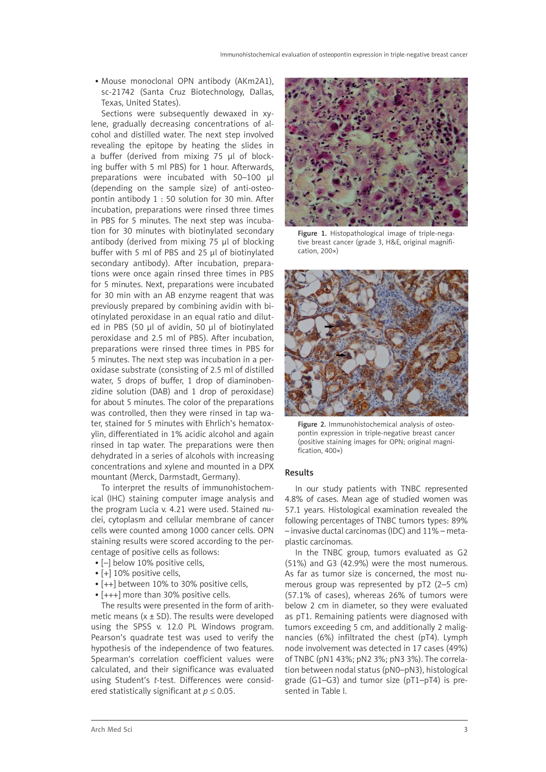• Mouse monoclonal OPN antibody (AKm2A1), sc-21742 (Santa Cruz Biotechnology, Dallas, Texas, United States).

Sections were subsequently dewaxed in xylene, gradually decreasing concentrations of alcohol and distilled water. The next step involved revealing the epitope by heating the slides in a buffer (derived from mixing 75 µl of blocking buffer with 5 ml PBS) for 1 hour. Afterwards, preparations were incubated with 50–100 µl (depending on the sample size) of anti-osteopontin antibody 1 : 50 solution for 30 min. After incubation, preparations were rinsed three times in PBS for 5 minutes. The next step was incubation for 30 minutes with biotinylated secondary antibody (derived from mixing 75 µl of blocking buffer with 5 ml of PBS and 25 µl of biotinylated secondary antibody). After incubation, preparations were once again rinsed three times in PBS for 5 minutes. Next, preparations were incubated for 30 min with an AB enzyme reagent that was previously prepared by combining avidin with biotinylated peroxidase in an equal ratio and diluted in PBS (50 µl of avidin, 50 µl of biotinylated peroxidase and 2.5 ml of PBS). After incubation, preparations were rinsed three times in PBS for 5 minutes. The next step was incubation in a peroxidase substrate (consisting of 2.5 ml of distilled water, 5 drops of buffer, 1 drop of diaminobenzidine solution (DAB) and 1 drop of peroxidase) for about 5 minutes. The color of the preparations was controlled, then they were rinsed in tap water, stained for 5 minutes with Ehrlich's hematoxylin, differentiated in 1% acidic alcohol and again rinsed in tap water. The preparations were then dehydrated in a series of alcohols with increasing concentrations and xylene and mounted in a DPX mountant (Merck, Darmstadt, Germany).

To interpret the results of immunohistochemical (IHC) staining computer image analysis and the program Lucia v. 4.21 were used. Stained nuclei, cytoplasm and cellular membrane of cancer cells were counted among 1000 cancer cells. OPN staining results were scored according to the percentage of positive cells as follows:

- [-] below 10% positive cells,
- [+] 10% positive cells,
- [++] between 10% to 30% positive cells,
- [+++] more than 30% positive cells.

The results were presented in the form of arithmetic means ( $x \pm SD$ ). The results were developed using the SPSS v. 12.0 PL Windows program. Pearson's quadrate test was used to verify the hypothesis of the independence of two features. Spearman's correlation coefficient values were calculated, and their significance was evaluated using Student's *t*-test. Differences were considered statistically significant at  $p \leq 0.05$ .



Figure 1. Histopathological image of triple-negative breast cancer (grade 3, H&E, original magnification, 200×)



Figure 2. Immunohistochemical analysis of osteopontin expression in triple-negative breast cancer (positive staining images for OPN; original magnification, 400×)

### Results

In our study patients with TNBC represented 4.8% of cases. Mean age of studied women was 57.1 years. Histological examination revealed the following percentages of TNBC tumors types: 89% – invasive ductal carcinomas (IDC) and 11% – metaplastic carcinomas.

In the TNBC group, tumors evaluated as G2 (51%) and G3 (42.9%) were the most numerous. As far as tumor size is concerned, the most numerous group was represented by pT2 (2–5 cm) (57.1% of cases), whereas 26% of tumors were below 2 cm in diameter, so they were evaluated as pT1. Remaining patients were diagnosed with tumors exceeding 5 cm, and additionally 2 malignancies (6%) infiltrated the chest (pT4). Lymph node involvement was detected in 17 cases (49%) of TNBC (pN1 43%; pN2 3%; pN3 3%). The correlation between nodal status (pN0–pN3), histological grade (G1–G3) and tumor size (pT1–pT4) is presented in Table I.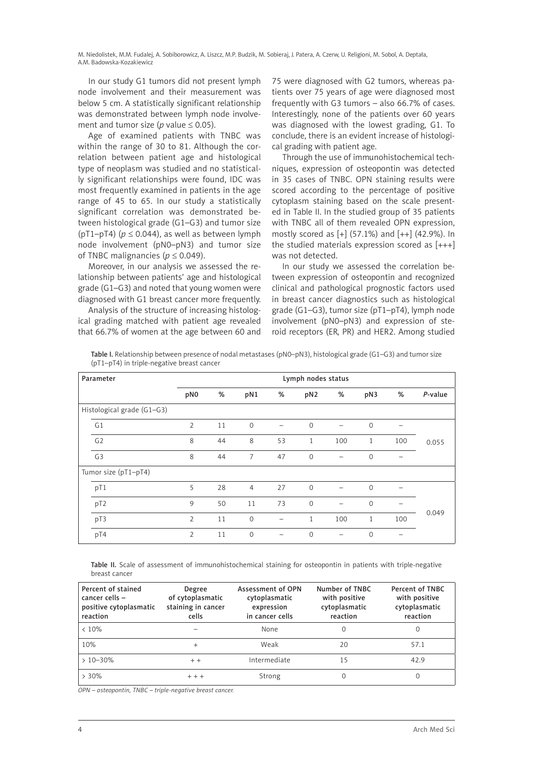In our study G1 tumors did not present lymph node involvement and their measurement was below 5 cm. A statistically significant relationship was demonstrated between lymph node involvement and tumor size ( $p$  value  $\leq$  0.05).

Age of examined patients with TNBC was within the range of 30 to 81. Although the correlation between patient age and histological type of neoplasm was studied and no statistically significant relationships were found, IDC was most frequently examined in patients in the age range of 45 to 65. In our study a statistically significant correlation was demonstrated between histological grade (G1–G3) and tumor size ( $pT1-pT4$ ) ( $p \le 0.044$ ), as well as between lymph node involvement (pN0–pN3) and tumor size of TNBC malignancies ( $p \le 0.049$ ).

Moreover, in our analysis we assessed the relationship between patients' age and histological grade (G1–G3) and noted that young women were diagnosed with G1 breast cancer more frequently.

Analysis of the structure of increasing histological grading matched with patient age revealed that 66.7% of women at the age between 60 and

75 were diagnosed with G2 tumors, whereas patients over 75 years of age were diagnosed most frequently with G3 tumors – also 66.7% of cases. Interestingly, none of the patients over 60 years was diagnosed with the lowest grading, G1. To conclude, there is an evident increase of histological grading with patient age.

Through the use of immunohistochemical techniques, expression of osteopontin was detected in 35 cases of TNBC. OPN staining results were scored according to the percentage of positive cytoplasm staining based on the scale presented in Table II. In the studied group of 35 patients with TNBC all of them revealed OPN expression, mostly scored as  $[+]$  (57.1%) and  $[++]$  (42.9%). In the studied materials expression scored as  $[++]$ was not detected.

In our study we assessed the correlation between expression of osteopontin and recognized clinical and pathological prognostic factors used in breast cancer diagnostics such as histological grade (G1–G3), tumor size (pT1–pT4), lymph node involvement (pN0–pN3) and expression of steroid receptors (ER, PR) and HER2. Among studied

Table I. Relationship between presence of nodal metastases (pN0–pN3), histological grade (G1–G3) and tumor size (pT1–pT4) in triple-negative breast cancer

| Parameter                  | Lymph nodes status |    |                |                          |                 |                 |              |     |         |
|----------------------------|--------------------|----|----------------|--------------------------|-----------------|-----------------|--------------|-----|---------|
|                            | pN <sub>0</sub>    | %  | pN1            | %                        | pN <sub>2</sub> | %               | pN3          | %   | P-value |
| Histological grade (G1-G3) |                    |    |                |                          |                 |                 |              |     |         |
| G1                         | 2                  | 11 | $\mathbf{0}$   |                          | $\mathbf{0}$    |                 | $\mathbf{0}$ |     |         |
| G <sub>2</sub>             | 8                  | 44 | 8              | 53                       | $\mathbf{1}$    | 100             | 1            | 100 | 0.055   |
| G <sub>3</sub>             | 8                  | 44 | $\overline{7}$ | 47                       | $\mathbf{0}$    | $\qquad \qquad$ | 0            |     |         |
| Tumor size (pT1-pT4)       |                    |    |                |                          |                 |                 |              |     |         |
| pT1                        | 5                  | 28 | $\overline{4}$ | 27                       | $\Omega$        |                 | $\Omega$     |     |         |
| pT <sub>2</sub>            | 9                  | 50 | 11             | 73                       | $\mathcal{O}$   |                 | 0            |     |         |
| pT3                        | 2                  | 11 | $\mathbf{O}$   | $\overline{\phantom{0}}$ | $\mathbf{1}$    | 100             | $\mathbf{1}$ | 100 | 0.049   |
| pT4                        | 2                  | 11 | $\mathbf{0}$   |                          | $\Omega$        |                 | $\mathbf{0}$ |     |         |

Table II. Scale of assessment of immunohistochemical staining for osteopontin in patients with triple-negative breast cancer

| Percent of stained<br>cancer cells -<br>positive cytoplasmatic<br>reaction | Degree<br>of cytoplasmatic<br>staining in cancer<br>cells | Assessment of OPN<br>cytoplasmatic<br>expression<br>in cancer cells | Number of TNBC<br>with positive<br>cytoplasmatic<br>reaction | Percent of TNBC<br>with positive<br>cytoplasmatic<br>reaction |
|----------------------------------------------------------------------------|-----------------------------------------------------------|---------------------------------------------------------------------|--------------------------------------------------------------|---------------------------------------------------------------|
| $< 10\%$                                                                   |                                                           | None                                                                | $\Omega$                                                     | $\Omega$                                                      |
| 10%                                                                        | $^{+}$                                                    | Weak                                                                | 20                                                           | 57.1                                                          |
| $>10-30%$                                                                  | $+ +$                                                     | Intermediate                                                        | 15                                                           | 42.9                                                          |
| $> 30\%$                                                                   | $+ + +$                                                   | Strong                                                              | 0                                                            |                                                               |

*OPN – osteopontin, TNBC – triple-negative breast cancer.*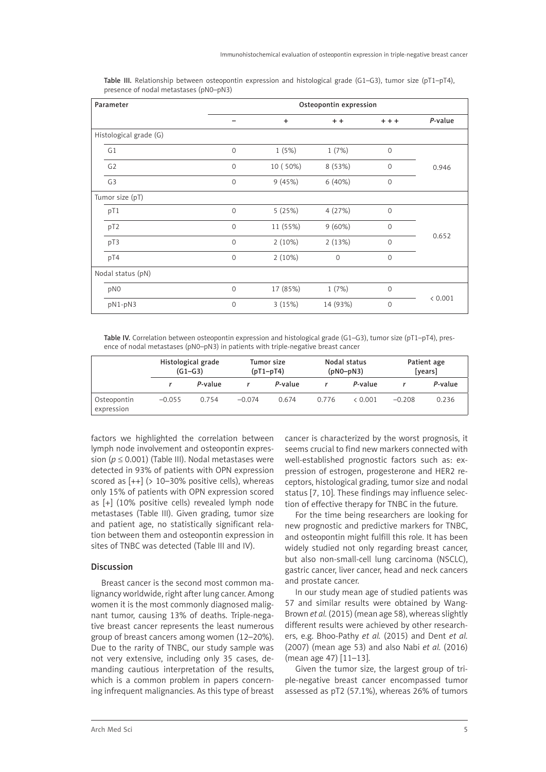| Parameter              | Osteopontin expression |           |              |              |         |  |  |
|------------------------|------------------------|-----------|--------------|--------------|---------|--|--|
|                        |                        | $\ddot{}$ | $+ +$        | $+ + +$      | P-value |  |  |
| Histological grade (G) |                        |           |              |              |         |  |  |
| G1                     | $\mathbf 0$            | 1(5%)     | 1(7%)        | $\mathbf{0}$ |         |  |  |
| G <sub>2</sub>         | $\mathbf{0}$           | 10 (50%)  | 8 (53%)      | $\mathbf{0}$ | 0.946   |  |  |
| G <sub>3</sub>         | $\mathsf{O}\xspace$    | 9(45%)    | 6(40%)       | $\mathbf{0}$ |         |  |  |
| Tumor size (pT)        |                        |           |              |              |         |  |  |
| pT1                    | $\mathbf 0$            | 5(25%)    | 4(27%)       | $\Omega$     |         |  |  |
| pT <sub>2</sub>        | $\mathbf 0$            | 11 (55%)  | $9(60\%)$    | $\Omega$     |         |  |  |
| pT3                    | $\mathbf 0$            | $2(10\%)$ | 2(13%)       | $\Omega$     | 0.652   |  |  |
| pT4                    | $\mathsf{O}\xspace$    | 2(10%)    | $\mathbf{0}$ | $\Omega$     |         |  |  |
| Nodal status (pN)      |                        |           |              |              |         |  |  |
| pNO                    | $\mathbf 0$            | 17 (85%)  | 1(7%)        | $\mathbf{0}$ |         |  |  |
| pN1-pN3                | $\mathbf 0$            | 3(15%)    | 14 (93%)     | $\Omega$     | < 0.001 |  |  |

Table III. Relationship between osteopontin expression and histological grade (G1–G3), tumor size (pT1–pT4), presence of nodal metastases (pN0–pN3)

Table IV. Correlation between osteopontin expression and histological grade (G1–G3), tumor size (pT1–pT4), presence of nodal metastases (pN0–pN3) in patients with triple-negative breast cancer

|                           | Histological grade<br>$(G1-G3)$ |         | Tumor size<br>$(pT1-pT4)$ |         | Nodal status<br>$(pNO-pN3)$ |         | Patient age<br>[years] |         |
|---------------------------|---------------------------------|---------|---------------------------|---------|-----------------------------|---------|------------------------|---------|
|                           |                                 | P-value |                           | P-value |                             | P-value |                        | P-value |
| Osteopontin<br>expression | $-0.055$                        | 0.754   | $-0.074$                  | 0.674   | 0.776                       | & 0.001 | $-0.208$               | 0.236   |

factors we highlighted the correlation between lymph node involvement and osteopontin expression (*p* ≤ 0.001) (Table III). Nodal metastases were detected in 93% of patients with OPN expression scored as  $[++]$  (> 10-30% positive cells), whereas only 15% of patients with OPN expression scored as [+] (10% positive cells) revealed lymph node metastases (Table III). Given grading, tumor size and patient age, no statistically significant relation between them and osteopontin expression in sites of TNBC was detected (Table III and IV).

# Discussion

Breast cancer is the second most common malignancy worldwide, right after lung cancer. Among women it is the most commonly diagnosed malignant tumor, causing 13% of deaths. Triple-negative breast cancer represents the least numerous group of breast cancers among women (12–20%). Due to the rarity of TNBC, our study sample was not very extensive, including only 35 cases, demanding cautious interpretation of the results, which is a common problem in papers concerning infrequent malignancies. As this type of breast cancer is characterized by the worst prognosis, it seems crucial to find new markers connected with well-established prognostic factors such as: expression of estrogen, progesterone and HER2 receptors, histological grading, tumor size and nodal status [7, 10]. These findings may influence selection of effective therapy for TNBC in the future.

For the time being researchers are looking for new prognostic and predictive markers for TNBC, and osteopontin might fulfill this role. It has been widely studied not only regarding breast cancer, but also non-small-cell lung carcinoma (NSCLC), gastric cancer, liver cancer, head and neck cancers and prostate cancer.

In our study mean age of studied patients was 57 and similar results were obtained by Wang-Brown *et al.* (2015) (mean age 58), whereas slightly different results were achieved by other researchers, e.g. Bhoo-Pathy *et al.* (2015) and Dent *et al.* (2007) (mean age 53) and also Nabi *et al.* (2016) (mean age 47) [11–13].

Given the tumor size, the largest group of triple-negative breast cancer encompassed tumor assessed as pT2 (57.1%), whereas 26% of tumors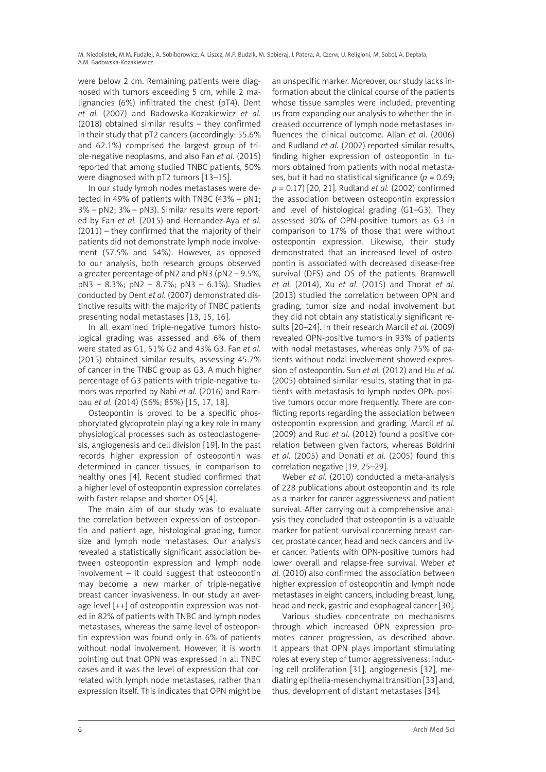were below 2 cm. Remaining patients were diagnosed with tumors exceeding 5 cm, while 2 malignancies (6%) infiltrated the chest (pT4). Dent *et al.* (2007) and Badowska-Kozakiewicz *et al.* (2018) obtained similar results – they confirmed in their study that pT2 cancers (accordingly: 55.6% and 62.1%) comprised the largest group of triple-negative neoplasms, and also Fan *et al.* (2015) reported that among studied TNBC patients, 50% were diagnosed with pT2 tumors [13–15].

In our study lymph nodes metastases were detected in 49% of patients with TNBC (43% – pN1; 3% – pN2; 3% – pN3). Similar results were reported by Fan *et al.* (2015) and Hernandez-Aya *et al*. (2011) – they confirmed that the majority of their patients did not demonstrate lymph node involvement (57.5% and 54%). However, as opposed to our analysis, both research groups observed a greater percentage of pN2 and pN3 (pN2 – 9.5%, pN3 – 8.3%; pN2 – 8.7%; pN3 – 6.1%). Studies conducted by Dent *et al.* (2007) demonstrated distinctive results with the majority of TNBC patients presenting nodal metastases [13, 15, 16].

In all examined triple-negative tumors histological grading was assessed and 6% of them were stated as G1, 51% G2 and 43% G3. Fan *et al.* (2015) obtained similar results, assessing 45.7% of cancer in the TNBC group as G3. A much higher percentage of G3 patients with triple-negative tumors was reported by Nabi *et al.* (2016) and Rambau *et al.* (2014) (56%; 85%) [15, 17, 18].

Osteopontin is proved to be a specific phosphorylated glycoprotein playing a key role in many physiological processes such as osteoclastogenesis, angiogenesis and cell division [19]. In the past records higher expression of osteopontin was determined in cancer tissues, in comparison to healthy ones [4]. Recent studied confirmed that a higher level of osteopontin expression correlates with faster relapse and shorter OS [4].

The main aim of our study was to evaluate the correlation between expression of osteopontin and patient age, histological grading, tumor size and lymph node metastases. Our analysis revealed a statistically significant association between osteopontin expression and lymph node involvement – it could suggest that osteopontin may become a new marker of triple-negative breast cancer invasiveness. In our study an average level [++] of osteopontin expression was noted in 82% of patients with TNBC and lymph nodes metastases, whereas the same level of osteopontin expression was found only in 6% of patients without nodal involvement. However, it is worth pointing out that OPN was expressed in all TNBC cases and it was the level of expression that correlated with lymph node metastases, rather than expression itself. This indicates that OPN might be

an unspecific marker. Moreover, our study lacks information about the clinical course of the patients whose tissue samples were included, preventing us from expanding our analysis to whether the increased occurrence of lymph node metastases influences the clinical outcome. Allan *et al*. (2006) and Rudland *et al.* (2002) reported similar results, finding higher expression of osteopontin in tumors obtained from patients with nodal metastases, but it had no statistical significance  $(p = 0.69)$ : *p* = 0.17) [20, 21]. Rudland *et al.* (2002) confirmed the association between osteopontin expression and level of histological grading (G1–G3). They assessed 30% of OPN-positive tumors as G3 in comparison to 17% of those that were without osteopontin expression. Likewise, their study demonstrated that an increased level of osteopontin is associated with decreased disease-free survival (DFS) and OS of the patients. Bramwell *et al.* (2014), Xu *et al.* (2015) and Thorat *et al.* (2013) studied the correlation between OPN and grading, tumor size and nodal involvement but they did not obtain any statistically significant results [20–24]. In their research Marcil *et al.* (2009) revealed OPN-positive tumors in 93% of patients with nodal metastases, whereas only 75% of patients without nodal involvement showed expression of osteopontin. Sun *et al.* (2012) and Hu *et al.* (2005) obtained similar results, stating that in patients with metastasis to lymph nodes OPN-positive tumors occur more frequently. There are conflicting reports regarding the association between osteopontin expression and grading. Marcil *et al.* (2009) and Rud *et al.* (2012) found a positive correlation between given factors, whereas Boldrini *et al.* (2005) and Donati *et al.* (2005) found this correlation negative [19, 25–29].

Weber *et al.* (2010) conducted a meta-analysis of 228 publications about osteopontin and its role as a marker for cancer aggressiveness and patient survival. After carrying out a comprehensive analysis they concluded that osteopontin is a valuable marker for patient survival concerning breast cancer, prostate cancer, head and neck cancers and liver cancer. Patients with OPN-positive tumors had lower overall and relapse-free survival. Weber *et al.* (2010) also confirmed the association between higher expression of osteopontin and lymph node metastases in eight cancers, including breast, lung, head and neck, gastric and esophageal cancer [30].

Various studies concentrate on mechanisms through which increased OPN expression promotes cancer progression, as described above. It appears that OPN plays important stimulating roles at every step of tumor aggressiveness: inducing cell proliferation [31], angiogenesis [32], mediating epithelia-mesenchymal transition [33] and, thus, development of distant metastases [34].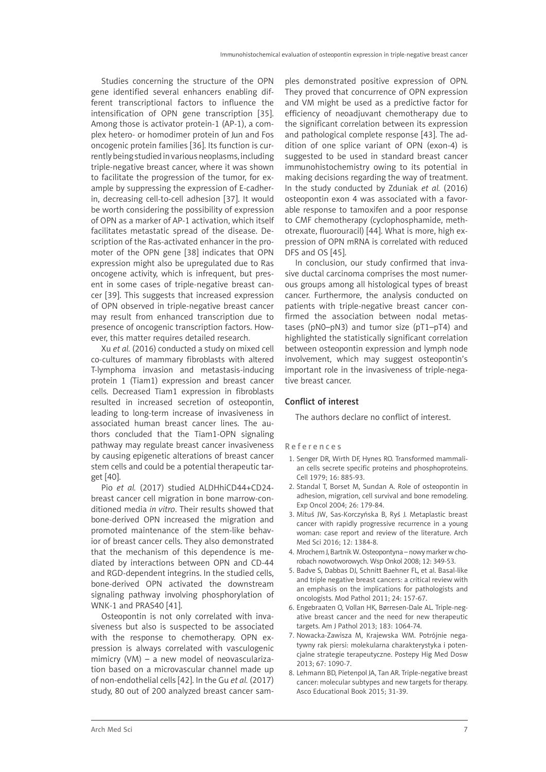Studies concerning the structure of the OPN gene identified several enhancers enabling different transcriptional factors to influence the intensification of OPN gene transcription [35]. Among those is activator protein-1 (AP-1), a complex hetero- or homodimer protein of Jun and Fos oncogenic protein families [36]. Its function is currently being studied in various neoplasms, including triple-negative breast cancer, where it was shown to facilitate the progression of the tumor, for example by suppressing the expression of E-cadherin, decreasing cell-to-cell adhesion [37]. It would be worth considering the possibility of expression of OPN as a marker of AP-1 activation, which itself facilitates metastatic spread of the disease. Description of the Ras-activated enhancer in the promoter of the OPN gene [38] indicates that OPN expression might also be upregulated due to Ras oncogene activity, which is infrequent, but present in some cases of triple-negative breast cancer [39]. This suggests that increased expression of OPN observed in triple-negative breast cancer may result from enhanced transcription due to presence of oncogenic transcription factors. However, this matter requires detailed research.

Xu *et al.* (2016) conducted a study on mixed cell co-cultures of mammary fibroblasts with altered T-lymphoma invasion and metastasis-inducing protein 1 (Tiam1) expression and breast cancer cells. Decreased Tiam1 expression in fibroblasts resulted in increased secretion of osteopontin, leading to long-term increase of invasiveness in associated human breast cancer lines. The authors concluded that the Tiam1-OPN signaling pathway may regulate breast cancer invasiveness by causing epigenetic alterations of breast cancer stem cells and could be a potential therapeutic target [40].

Pio *et al.* (2017) studied ALDHhiCD44+CD24 breast cancer cell migration in bone marrow-conditioned media *in vitro*. Their results showed that bone-derived OPN increased the migration and promoted maintenance of the stem-like behavior of breast cancer cells. They also demonstrated that the mechanism of this dependence is mediated by interactions between OPN and CD-44 and RGD-dependent integrins. In the studied cells, bone-derived OPN activated the downstream signaling pathway involving phosphorylation of WNK-1 and PRAS40 [41].

Osteopontin is not only correlated with invasiveness but also is suspected to be associated with the response to chemotherapy. OPN expression is always correlated with vasculogenic mimicry (VM) – a new model of neovascularization based on a microvascular channel made up of non-endothelial cells [42]. In the Gu *et al.* (2017) study, 80 out of 200 analyzed breast cancer sam-

ples demonstrated positive expression of OPN. They proved that concurrence of OPN expression and VM might be used as a predictive factor for efficiency of neoadjuvant chemotherapy due to the significant correlation between its expression and pathological complete response [43]. The addition of one splice variant of OPN (exon-4) is suggested to be used in standard breast cancer immunohistochemistry owing to its potential in making decisions regarding the way of treatment. In the study conducted by Zduniak *et al.* (2016) osteopontin exon 4 was associated with a favorable response to tamoxifen and a poor response to CMF chemotherapy (cyclophosphamide, methotrexate, fluorouracil) [44]. What is more, high expression of OPN mRNA is correlated with reduced DFS and OS [45].

In conclusion, our study confirmed that invasive ductal carcinoma comprises the most numerous groups among all histological types of breast cancer. Furthermore, the analysis conducted on patients with triple-negative breast cancer confirmed the association between nodal metastases (pN0–pN3) and tumor size (pT1–pT4) and highlighted the statistically significant correlation between osteopontin expression and lymph node involvement, which may suggest osteopontin's important role in the invasiveness of triple-negative breast cancer.

## Conflict of interest

The authors declare no conflict of interest.

References

- 1. Senger DR, Wirth DF, Hynes RO. Transformed mammalian cells secrete specific proteins and phosphoproteins. Cell 1979; 16: 885-93.
- 2. Standal T, Borset M, Sundan A. Role of osteopontin in adhesion, migration, cell survival and bone remodeling. Exp Oncol 2004; 26: 179-84.
- 3. Mituś JW, Sas-Korczyńska B, Ryś J. Metaplastic breast cancer with rapidly progressive recurrence in a young woman: case report and review of the literature. Arch Med Sci 2016; 12: 1384-8.
- 4. Mrochem J, Bartnik W. Osteopontyna nowy marker w chorobach nowotworowych. Wsp Onkol 2008; 12: 349-53.
- 5. Badve S, Dabbas DJ, Schnitt Baehner FL, et al. Basal-like and triple negative breast cancers: a critical review with an emphasis on the implications for pathologists and oncologists. Mod Pathol 2011; 24: 157-67.
- 6. Engebraaten O, Vollan HK, Børresen-Dale AL. Triple-negative breast cancer and the need for new therapeutic targets. Am J Pathol 2013; 183: 1064-74.
- 7. Nowacka-Zawisza M, Krajewska WM. Potrójnie negatywny rak piersi: molekularna charakterystyka i potencjalne strategie terapeutyczne. Postepy Hig Med Dosw 2013; 67: 1090-7.
- 8. Lehmann BD, Pietenpol JA, Tan AR. Triple-negative breast cancer: molecular subtypes and new targets for therapy. Asco Educational Book 2015; 31-39.